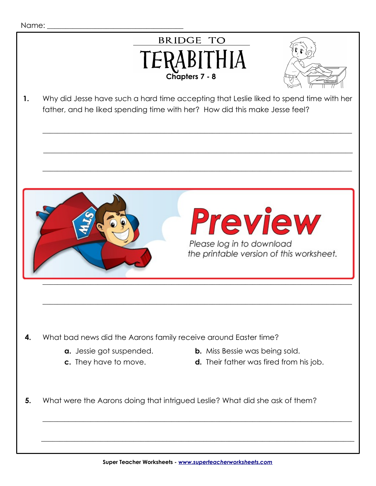